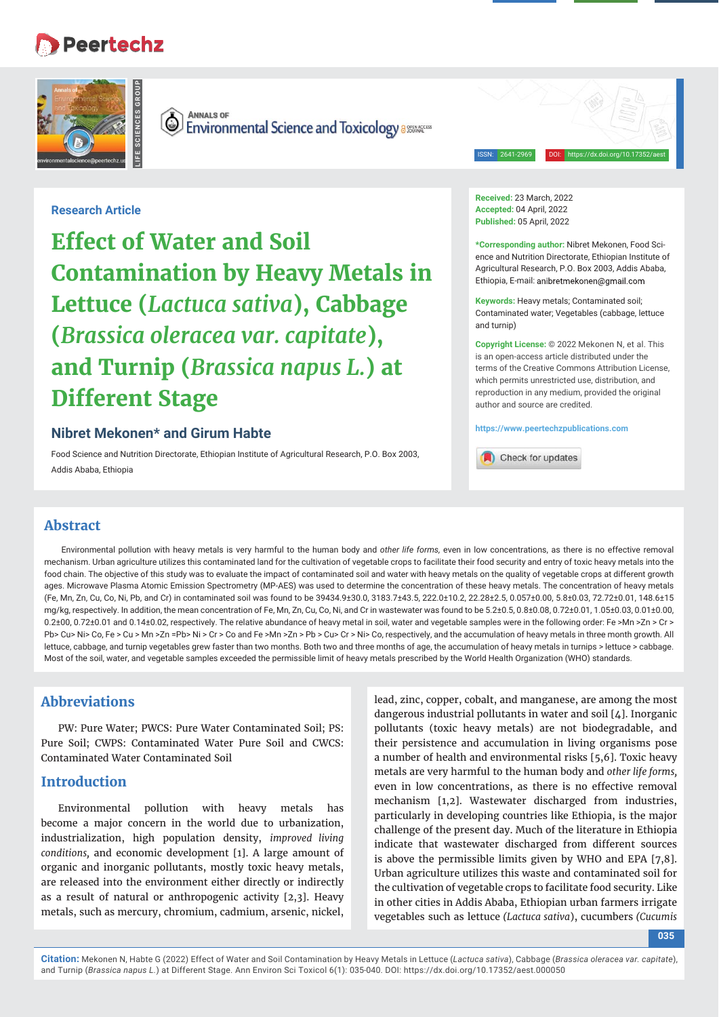# **Peertechz**



**ANNALS OF** (O **Environmental Science and Toxicology assuressingle Formation** 

ISSN: 2641-2969 DOI: https://dx.doi.org/10.17352/aest

# **Research Article**

**Effect of Water and Soil Contamination by Heavy Metals in Lettuce (***Lactuca sativa***), Cabbage (***Brassica oleracea var. capitate***), and Turnip (***Brassica napus L.***) at Different Stage**

# **Nibret Mekonen\* and Girum Habte**

Food Science and Nutrition Directorate, Ethiopian Institute of Agricultural Research, P.O. Box 2003, Addis Ababa, Ethiopia

**Received:** 23 March, 2022 **Accepted:** 04 April, 2022 Published: 05 April, 2022

**\*Corresponding author:** Nibret Mekonen, Food Science and Nutrition Directorate, Ethiopian Institute of Agricultural Research, P.O. Box 2003, Addis Ababa, Ethiopia, E-mail: anibretmekonen@gmail.com

**Keywords:** Heavy metals; Contaminated soil; Contaminated water; Vegetables (cabbage, lettuce and turnip)

**Copyright License:** © 2022 Mekonen N, et al. This is an open-access article distributed under the terms of the Creative Commons Attribution License, which permits unrestricted use, distribution, and reproduction in any medium, provided the original author and source are credited.

**https://www.peertechzpublications.com**

Check for updates

# **Abstract**

Environmental pollution with heavy metals is very harmful to the human body and *other life forms,* even in low concentrations, as there is no effective removal mechanism. Urban agriculture utilizes this contaminated land for the cultivation of vegetable crops to facilitate their food security and entry of toxic heavy metals into the food chain. The objective of this study was to evaluate the impact of contaminated soil and water with heavy metals on the quality of vegetable crops at different growth ages. Microwave Plasma Atomic Emission Spectrometry (MP-AES) was used to determine the concentration of these heavy metals. The concentration of heavy metals (Fe, Mn, Zn, Cu, Co, Ni, Pb, and Cr) in contaminated soil was found to be 39434.9±30.0, 3183.7±43.5, 222.0±10.2, 22.28±2.5, 0.057±0.00, 5.8±0.03, 72.72±0.01, 148.6±15 mg/kg, respectively. In addition, the mean concentration of Fe, Mn, Zn, Cu, Co, Ni, and Cr in wastewater was found to be 5.2±0.5, 0.8±0.08, 0.72±0.01, 1.05±0.03, 0.01±0.00, 0.2±00, 0.72±0.01 and 0.14±0.02, respectively. The relative abundance of heavy metal in soil, water and vegetable samples were in the following order: Fe >Mn >Zn > Cr > Pb> Cu> Ni> Co, Fe > Cu > Mn >Zn =Pb> Ni > Cr > Co and Fe >Mn >Zn > Pb > Cu> Cr > Ni> Co, respectively, and the accumulation of heavy metals in three month growth. All lettuce, cabbage, and turnip vegetables grew faster than two months. Both two and three months of age, the accumulation of heavy metals in turnips > lettuce > cabbage. Most of the soil, water, and vegetable samples exceeded the permissible limit of heavy metals prescribed by the World Health Organization (WHO) standards.

# **Abbreviations**

PW: Pure Water; PWCS: Pure Water Contaminated Soil; PS: Pure Soil; CWPS: Contaminated Water Pure Soil and CWCS: Contaminated Water Contaminated Soil

## **Introduction**

Environmental pollution with heavy metals has become a major concern in the world due to urbanization, industrialization, high population density, *improved living conditions,* and economic development [1]. A large amount of organic and inorganic pollutants, mostly toxic heavy metals, are released into the environment either directly or indirectly as a result of natural or anthropogenic activity [2,3]. Heavy metals, such as mercury, chromium, cadmium, arsenic, nickel,

lead, zinc, copper, cobalt, and manganese, are among the most dangerous industrial pollutants in water and soil [4]. Inorganic pollutants (toxic heavy metals) are not biodegradable, and their persistence and accumulation in living organisms pose a number of health and environmental risks [5,6]. Toxic heavy metals are very harmful to the human body and *other life forms,* even in low concentrations, as there is no effective removal mechanism [1,2]. Wastewater discharged from industries, particularly in developing countries like Ethiopia, is the major challenge of the present day. Much of the literature in Ethiopia indicate that wastewater discharged from different sources is above the permissible limits given by WHO and EPA [7,8]. Urban agriculture utilizes this waste and contaminated soil for the cultivation of vegetable crops to facilitate food security. Like in other cities in Addis Ababa, Ethiopian urban farmers irrigate vegetables such as lettuce *(Lactuca sativa*), cucumbers *(Cucumis* 

**035**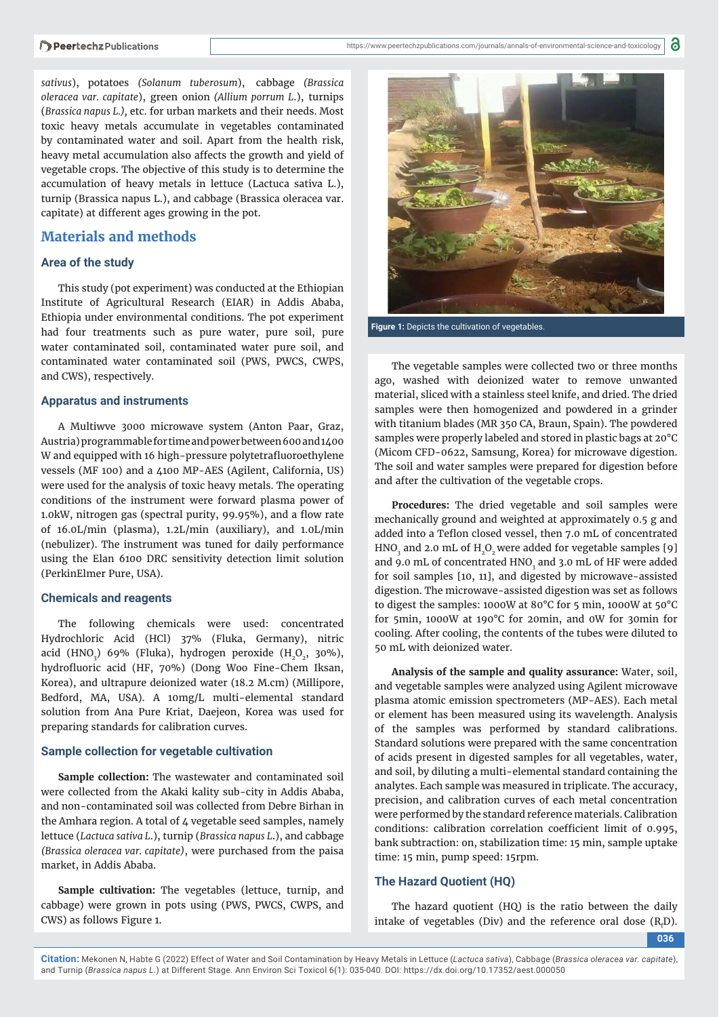*sativus*), potatoes *(Solanum tuberosum*), cabbage *(Brassica oleracea var. capitate*), green onion *(Allium porrum L*.), turnips (*Brassica napus L.),* etc. for urban markets and their needs. Most toxic heavy metals accumulate in vegetables contaminated by contaminated water and soil. Apart from the health risk, heavy metal accumulation also affects the growth and yield of vegetable crops. The objective of this study is to determine the accumulation of heavy metals in lettuce (Lactuca sativa L.), turnip (Brassica napus L.), and cabbage (Brassica oleracea var. capitate) at different ages growing in the pot.

## **Materials and methods**

#### **Area of the study**

This study (pot experiment) was conducted at the Ethiopian Institute of Agricultural Research (EIAR) in Addis Ababa, Ethiopia under environmental conditions. The pot experiment had four treatments such as pure water, pure soil, pure water contaminated soil, contaminated water pure soil, and contaminated water contaminated soil (PWS, PWCS, CWPS, and CWS), respectively.

#### **Apparatus and instruments**

A Multiwve 3000 microwave system (Anton Paar, Graz, Austria) programmable for time and power between 600 and 1400 W and equipped with 16 high-pressure polytetrafluoroethylene vessels (MF 100) and a 4100 MP-AES (Agilent, California, US) were used for the analysis of toxic heavy metals. The operating conditions of the instrument were forward plasma power of 1.0kW, nitrogen gas (spectral purity, 99.95%), and a flow rate of 16.0L/min (plasma), 1.2L/min (auxiliary), and 1.0L/min (nebulizer). The instrument was tuned for daily performance using the Elan 6100 DRC sensitivity detection limit solution (PerkinElmer Pure, USA).

#### **Chemicals and reagents**

The following chemicals were used: concentrated Hydrochloric Acid (HCl) 37% (Fluka, Germany), nitric acid (HNO<sub>3</sub>) 69% (Fluka), hydrogen peroxide (H<sub>2</sub>O<sub>2</sub>, 30%), hydrofluoric acid (HF, 70%) (Dong Woo Fine-Chem Iksan, Korea), and ultrapure deionized water (18.2 M.cm) (Millipore, Bedford, MA, USA). A 10mg/L multi-elemental standard solution from Ana Pure Kriat, Daejeon, Korea was used for preparing standards for calibration curves.

#### **Sample collection for vegetable cultivation**

**Sample collection:** The wastewater and contaminated soil were collected from the Akaki kality sub-city in Addis Ababa, and non-contaminated soil was collected from Debre Birhan in the Amhara region. A total of 4 vegetable seed samples, namely lettuce (*Lactuca sativa L*.), turnip (*Brassica napus L*.), and cabbage *(Brassica oleracea var. capitate)*, were purchased from the paisa market, in Addis Ababa.

**Sample cultivation:** The vegetables (lettuce, turnip, and cabbage) were grown in pots using (PWS, PWCS, CWPS, and CWS) as follows Figure 1.



**Figure 1:** Depicts the cultivation of vegetables.

The vegetable samples were collected two or three months ago, washed with deionized water to remove unwanted material, sliced with a stainless steel knife, and dried. The dried samples were then homogenized and powdered in a grinder with titanium blades (MR 350 CA, Braun, Spain). The powdered samples were properly labeled and stored in plastic bags at 20°C (Micom CFD-0622, Samsung, Korea) for microwave digestion. The soil and water samples were prepared for digestion before and after the cultivation of the vegetable crops.

**Procedures:** The dried vegetable and soil samples were mechanically ground and weighted at approximately 0.5 g and added into a Teflon closed vessel, then 7.0 mL of concentrated HNO<sub>3</sub> and 2.0 mL of  $H_2O_2$  were added for vegetable samples [9] and 9.0 mL of concentrated  $HNO<sub>3</sub>$  and 3.0 mL of HF were added for soil samples [10, 11], and digested by microwave-assisted digestion. The microwave-assisted digestion was set as follows to digest the samples: 1000W at 80°C for 5 min, 1000W at 50°C for 5min, 1000W at 190°C for 20min, and 0W for 30min for cooling. After cooling, the contents of the tubes were diluted to 50 mL with deionized water.

**Analysis of the sample and quality assurance:** Water, soil, and vegetable samples were analyzed using Agilent microwave plasma atomic emission spectrometers (MP-AES). Each metal or element has been measured using its wavelength. Analysis of the samples was performed by standard calibrations. Standard solutions were prepared with the same concentration of acids present in digested samples for all vegetables, water, and soil, by diluting a multi-elemental standard containing the analytes. Each sample was measured in triplicate. The accuracy, precision, and calibration curves of each metal concentration were performed by the standard reference materials. Calibration conditions: calibration correlation coefficient limit of 0.995, bank subtraction: on, stabilization time: 15 min, sample uptake time: 15 min, pump speed: 15rpm.

### **The Hazard Quotient (HQ)**

The hazard quotient (HQ) is the ratio between the daily intake of vegetables (Div) and the reference oral dose  $(R_f D)$ .

**036**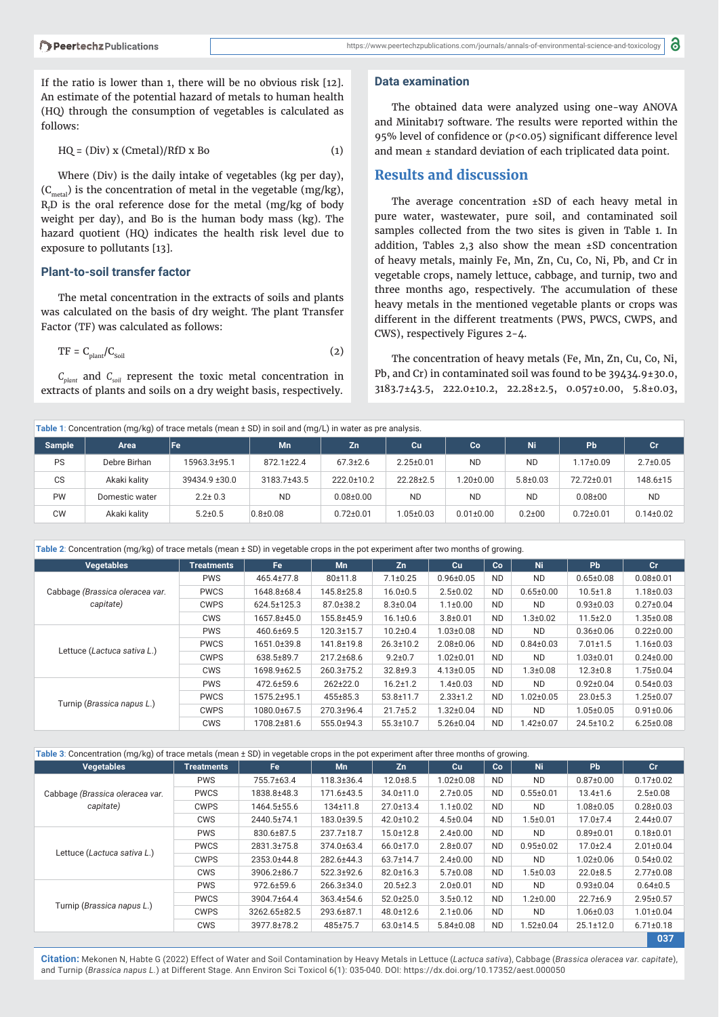If the ratio is lower than 1, there will be no obvious risk [12]. An estimate of the potential hazard of metals to human health (HQ) through the consumption of vegetables is calculated as follows:

$$
HQ = (Div) x (Cmetal)/RfD x Bo
$$
 (1)

Where (Div) is the daily intake of vegetables (kg per day),  $(C<sub>metal</sub>)$  is the concentration of metal in the vegetable (mg/kg),  $R_f$ D is the oral reference dose for the metal (mg/kg of body weight per day), and Bo is the human body mass (kg). The hazard quotient (HQ) indicates the health risk level due to exposure to pollutants [13].

## **Plant-to-soil transfer factor**

The metal concentration in the extracts of soils and plants was calculated on the basis of dry weight. The plant Transfer Factor (TF) was calculated as follows:

$$
TF = C_{\text{plant}} / C_{\text{Soil}} \tag{2}
$$

 $C_{\text{plant}}$  and  $C_{\text{soil}}$  represent the toxic metal concentration in extracts of plants and soils on a dry weight basis, respectively.

#### **Data examination**

The obtained data were analyzed using one-way ANOVA and Minitab17 software. The results were reported within the 95% level of confidence or ( $p$ <0.05) significant difference level and mean ± standard deviation of each triplicated data point.

## **Results and discussion**

The average concentration ±SD of each heavy metal in pure water, wastewater, pure soil, and contaminated soil samples collected from the two sites is given in Table 1. In addition, Tables 2,3 also show the mean ±SD concentration of heavy metals, mainly Fe, Mn, Zn, Cu, Co, Ni, Pb, and Cr in vegetable crops, namely lettuce, cabbage, and turnip, two and three months ago, respectively. The accumulation of these heavy metals in the mentioned vegetable plants or crops was different in the different treatments (PWS, PWCS, CWPS, and CWS), respectively Figures 2-4.

The concentration of heavy metals (Fe, Mn, Zn, Cu, Co, Ni, Pb, and Cr) in contaminated soil was found to be 39434.9±30.0, 3183.7±43.5, 222.0±10.2, 22.28±2.5, 0.057±0.00, 5.8±0.03,

| Table 1: Concentration (mg/kg) of trace metals (mean $\pm$ SD) in soil and (mg/L) in water as pre analysis. |                |               |              |                 |                 |                 |                |                 |                 |  |  |
|-------------------------------------------------------------------------------------------------------------|----------------|---------------|--------------|-----------------|-----------------|-----------------|----------------|-----------------|-----------------|--|--|
| <b>Sample</b>                                                                                               | Area           | <b>Fe</b>     | Mn           | Zn              | Cu              | Co              | Ni.            | Pb              | Cr              |  |  |
| PS                                                                                                          | Debre Birhan   | 15963.3±95.1  | 872.1±22.4   | $67.3 \pm 2.6$  | $2.25 \pm 0.01$ | <b>ND</b>       | <b>ND</b>      | $1.17 \pm 0.09$ | $2.7 \pm 0.05$  |  |  |
| CS                                                                                                          | Akaki kalitv   | 39434.9 ±30.0 | 3183.7±43.5  | 222.0±10.2      | $22.28 \pm 2.5$ | $1.20 + 0.00$   | $5.8 \pm 0.03$ | 72.72±0.01      | 148.6±15        |  |  |
| <b>PW</b>                                                                                                   | Domestic water | $2.2 \pm 0.3$ | <b>ND</b>    | $0.08 + 0.00$   | <b>ND</b>       | <b>ND</b>       | <b>ND</b>      | $0.08 + 00$     | <b>ND</b>       |  |  |
| <b>CW</b>                                                                                                   | Akaki kality   | $5.2 \pm 0.5$ | $0.8 + 0.08$ | $0.72 \pm 0.01$ | $1.05 \pm 0.03$ | $0.01 \pm 0.00$ | $0.2 + 00$     | $0.72 \pm 0.01$ | $0.14 \pm 0.02$ |  |  |

**Table 2**: Concentration (mg/kg) of trace metals (mean ± SD) in vegetable crops in the pot experiment after two months of growing.

| <b>Vegetables</b>               | <b>Treatments</b> | Fe          | Mn             | Zn              | Cu              | Co        | <b>Ni</b>       | <b>Pb</b>                                                                                                                                                                                                                                                                                                                                                                                                               | cr            |
|---------------------------------|-------------------|-------------|----------------|-----------------|-----------------|-----------|-----------------|-------------------------------------------------------------------------------------------------------------------------------------------------------------------------------------------------------------------------------------------------------------------------------------------------------------------------------------------------------------------------------------------------------------------------|---------------|
|                                 | <b>PWS</b>        | 465.4±77.8  | 80±11.8        | $7.1 \pm 0.25$  | $0.96 \pm 0.05$ | <b>ND</b> | <b>ND</b>       | $0.65 \pm 0.08$                                                                                                                                                                                                                                                                                                                                                                                                         | $0.08 + 0.01$ |
| Cabbage (Brassica oleracea var. | <b>PWCS</b>       | 1648.8±68.4 | 145.8±25.8     | $16.0 + 0.5$    | $2.5 \pm 0.02$  | <b>ND</b> | $0.65 \pm 0.00$ | $10.5 \pm 1.8$<br>$1.18 \pm 0.03$<br>$0.93 + 0.03$<br>$0.27 \pm 0.04$<br>$11.5 \pm 2.0$<br>$1.35 \pm 0.08$<br>$0.36 \pm 0.06$<br>$0.22 \pm 0.00$<br>$7.01 \pm 1.5$<br>$1.16 \pm 0.03$<br>$1.03 \pm 0.01$<br>$0.24 \pm 0.00$<br>$12.3 \pm 0.8$<br>$1.75 \pm 0.04$<br>$0.92 \pm 0.04$<br>$0.54 \pm 0.03$<br>$23.0 \pm 5.3$<br>$1.25 \pm 0.07$<br>$1.05 \pm 0.05$<br>$0.91 \pm 0.06$<br>$24.5 \pm 10.2$<br>$6.25 \pm 0.08$ |               |
| capitate)                       | <b>CWPS</b>       | 624.5±125.3 | 87.0±38.2      | $8.3 \pm 0.04$  | $1.1 \pm 0.00$  | <b>ND</b> | <b>ND</b>       |                                                                                                                                                                                                                                                                                                                                                                                                                         |               |
|                                 | <b>CWS</b>        | 1657.8±45.0 | 155.8±45.9     | $16.1 \pm 0.6$  | $3.8 + 0.01$    | <b>ND</b> | $1.3 \pm 0.02$  |                                                                                                                                                                                                                                                                                                                                                                                                                         |               |
|                                 | <b>PWS</b>        | 460.6±69.5  | 120.3±15.7     | $10.2 + 0.4$    | $1.03 \pm 0.08$ | <b>ND</b> | <b>ND</b>       |                                                                                                                                                                                                                                                                                                                                                                                                                         |               |
| Lettuce (Lactuca sativa L.)     | <b>PWCS</b>       | 1651.0±39.8 | 141.8±19.8     | $26.3 \pm 10.2$ | $2.08 + 0.06$   | <b>ND</b> | $0.84 \pm 0.03$ |                                                                                                                                                                                                                                                                                                                                                                                                                         |               |
|                                 | <b>CWPS</b>       | 638.5±89.7  | 217.2±68.6     | $9.2 \pm 0.7$   | $1.02 \pm 0.01$ | <b>ND</b> | <b>ND</b>       |                                                                                                                                                                                                                                                                                                                                                                                                                         |               |
|                                 | <b>CWS</b>        | 1698.9±62.5 | 260.3±75.2     | $32.8 + 9.3$    | $4.13 \pm 0.05$ | <b>ND</b> | $1.3 \pm 0.08$  |                                                                                                                                                                                                                                                                                                                                                                                                                         |               |
|                                 | <b>PWS</b>        | 472.6±59.6  | 262±22.0       | $16.2 \pm 1.2$  | $1.4 \pm 0.03$  | <b>ND</b> | <b>ND</b>       |                                                                                                                                                                                                                                                                                                                                                                                                                         |               |
|                                 | <b>PWCS</b>       | 1575.2±95.1 | $455 \pm 85.3$ | $53.8 \pm 11.7$ | $2.33 \pm 1.2$  | <b>ND</b> | $1.02 \pm 0.05$ |                                                                                                                                                                                                                                                                                                                                                                                                                         |               |
| Turnip (Brassica napus L.)      | <b>CWPS</b>       | 1080.0±67.5 | 270.3±96.4     | $21.7 \pm 5.2$  | $1.32 \pm 0.04$ | <b>ND</b> | <b>ND</b>       |                                                                                                                                                                                                                                                                                                                                                                                                                         |               |
|                                 | <b>CWS</b>        | 1708.2±81.6 | 555.0±94.3     | $55.3 \pm 10.7$ | $5.26 \pm 0.04$ | <b>ND</b> | $1.42 \pm 0.07$ |                                                                                                                                                                                                                                                                                                                                                                                                                         |               |

| Table 3: Concentration (mg/kg) of trace metals (mean $\pm$ SD) in vegetable crops in the pot experiment after three months of growing. |                   |              |                  |                 |                 |           |                 |                 |                 |  |
|----------------------------------------------------------------------------------------------------------------------------------------|-------------------|--------------|------------------|-----------------|-----------------|-----------|-----------------|-----------------|-----------------|--|
| <b>Vegetables</b>                                                                                                                      | <b>Treatments</b> | Fe           | Mn               | Zn.             | Cu              | Co        | <b>Ni</b>       | <b>Pb</b>       | Cr.             |  |
|                                                                                                                                        | <b>PWS</b>        | 755.7±63.4   | 118.3±36.4       | $12.0 \pm 8.5$  | $1.02 \pm 0.08$ | <b>ND</b> | <b>ND</b>       | $0.87 \pm 0.00$ | $0.17 \pm 0.02$ |  |
| Cabbage (Brassica oleracea var.                                                                                                        | <b>PWCS</b>       | 1838.8±48.3  | 171.6±43.5       | $34.0 \pm 11.0$ | $2.7 \pm 0.05$  | <b>ND</b> | $0.55 \pm 0.01$ | $13.4 \pm 1.6$  | $2.5 \pm 0.08$  |  |
| capitate)                                                                                                                              | <b>CWPS</b>       | 1464.5±55.6  | $134 \pm 11.8$   | $27.0 \pm 13.4$ | $1.1 \pm 0.02$  | <b>ND</b> | <b>ND</b>       | 1.08±0.05       | $0.28 \pm 0.03$ |  |
|                                                                                                                                        | <b>CWS</b>        | 2440.5±74.1  | 183.0±39.5       | 42.0±10.2       | $4.5 \pm 0.04$  | <b>ND</b> | $1.5 \pm 0.01$  | $17.0 \pm 7.4$  | $2.44 \pm 0.07$ |  |
|                                                                                                                                        | <b>PWS</b>        | 830.6±87.5   | 237.7±18.7       | $15.0 \pm 12.8$ | $2.4 \pm 0.00$  | <b>ND</b> | <b>ND</b>       | $0.89 \pm 0.01$ | $0.18 + 0.01$   |  |
|                                                                                                                                        | <b>PWCS</b>       | 2831.3±75.8  | 374.0±63.4       | $66.0 \pm 17.0$ | $2.8 \pm 0.07$  | <b>ND</b> | $0.95 \pm 0.02$ | $17.0 \pm 2.4$  | $2.01 \pm 0.04$ |  |
| Lettuce (Lactuca sativa L.)                                                                                                            | <b>CWPS</b>       | 2353.0±44.8  | 282.6±44.3       | 63.7±14.7       | $2.4 \pm 0.00$  | <b>ND</b> | <b>ND</b>       | $1.02 \pm 0.06$ | $0.54 \pm 0.02$ |  |
|                                                                                                                                        | <b>CWS</b>        | 3906.2±86.7  | $522.3 \pm 92.6$ | $82.0 \pm 16.3$ | $5.7 \pm 0.08$  | <b>ND</b> | $1.5 \pm 0.03$  | $22.0 \pm 8.5$  | $2.77 \pm 0.08$ |  |
|                                                                                                                                        | <b>PWS</b>        | 972.6±59.6   | 266.3±34.0       | $20.5 \pm 2.3$  | $2.0 \pm 0.01$  | <b>ND</b> | <b>ND</b>       | $0.93 \pm 0.04$ | $0.64 \pm 0.5$  |  |
|                                                                                                                                        | <b>PWCS</b>       | 3904.7±64.4  | 363.4±54.6       | $52.0 \pm 25.0$ | $3.5 \pm 0.12$  | <b>ND</b> | $1.2 \pm 0.00$  | $22.7 + 6.9$    | $2.95 \pm 0.57$ |  |
| Turnip (Brassica napus L.)                                                                                                             | <b>CWPS</b>       | 3262.65±82.5 | 293.6±87.1       | 48.0±12.6       | $2.1 \pm 0.06$  | <b>ND</b> | <b>ND</b>       | $1.06 \pm 0.03$ | $1.01 \pm 0.04$ |  |
|                                                                                                                                        | <b>CWS</b>        | 3977.8±78.2  | 485±75.7         | 63.0±14.5       | $5.84 \pm 0.08$ | <b>ND</b> | $1.52 \pm 0.04$ | $25.1 \pm 12.0$ | $6.71 \pm 0.18$ |  |
|                                                                                                                                        | 037               |              |                  |                 |                 |           |                 |                 |                 |  |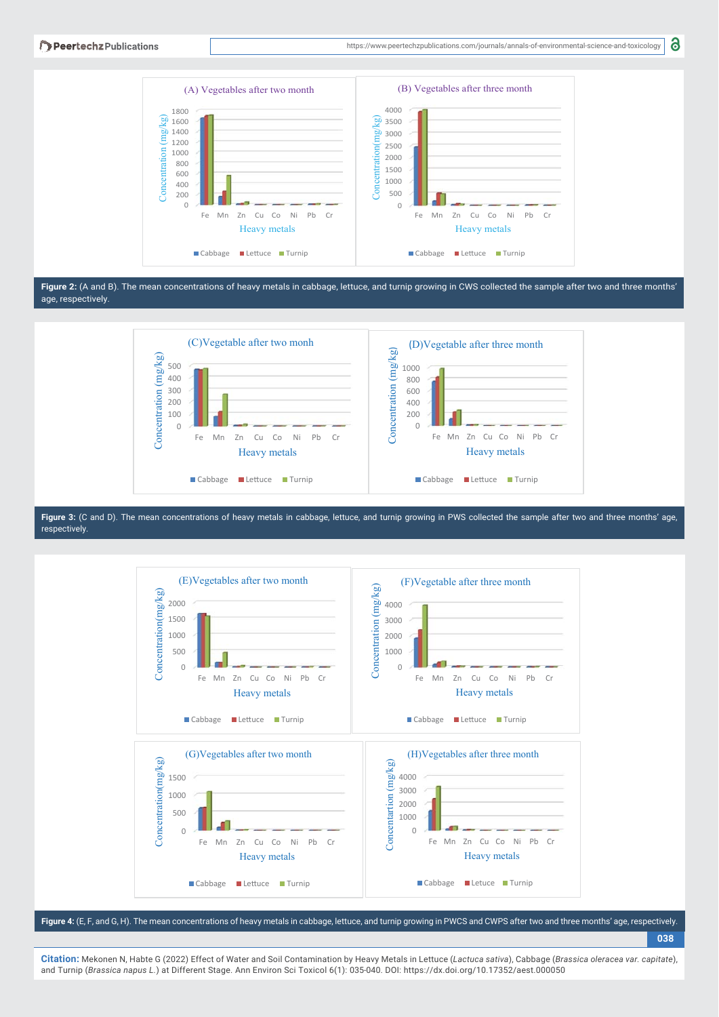8



**Figure 2:** (A and B). The mean concentrations of heavy metals in cabbage, lettuce, and turnip growing in CWS collected the sample after two and three months' age, respectively.



**Figure 3:** (C and D). The mean concentrations of heavy metals in cabbage, lettuce, and turnip growing in PWS collected the sample after two and three months' age, respectively.



**Figure 4:** (E, F, and G, H). The mean concentrations of heavy metals in cabbage, lettuce, and turnip growing in PWCS and CWPS after two and three months' age, respectively.

**038**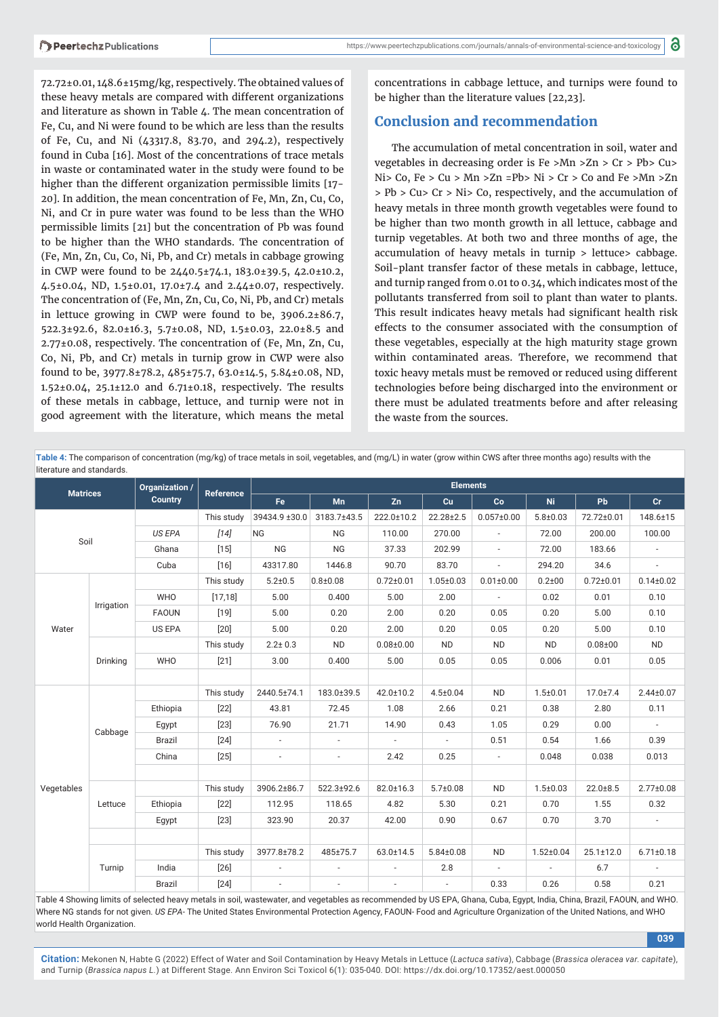72.72±0.01, 148.6±15mg/kg, respectively. The obtained values of these heavy metals are compared with different organizations and literature as shown in Table 4. The mean concentration of Fe, Cu, and Ni were found to be which are less than the results of Fe, Cu, and Ni (43317.8, 83.70, and 294.2), respectively found in Cuba [16]. Most of the concentrations of trace metals in waste or contaminated water in the study were found to be higher than the different organization permissible limits [17-20]. In addition, the mean concentration of Fe, Mn, Zn, Cu, Co, Ni, and Cr in pure water was found to be less than the WHO permissible limits [21] but the concentration of Pb was found to be higher than the WHO standards. The concentration of (Fe, Mn, Zn, Cu, Co, Ni, Pb, and Cr) metals in cabbage growing in CWP were found to be 2440.5±74.1, 183.0±39.5, 42.0±10.2, 4.5±0.04, ND, 1.5±0.01, 17.0±7.4 and 2.44±0.07, respectively. The concentration of (Fe, Mn, Zn, Cu, Co, Ni, Pb, and Cr) metals in lettuce growing in CWP were found to be,  $3906.2\pm86.7$ , 522.3±92.6, 82.0±16.3, 5.7±0.08, ND, 1.5±0.03, 22.0±8.5 and 2.77±0.08, respectively. The concentration of (Fe, Mn, Zn, Cu, Co, Ni, Pb, and Cr) metals in turnip grow in CWP were also found to be, 3977.8±78.2, 485±75.7, 63.0±14.5, 5.84±0.08, ND, 1.52±0.04, 25.1±12.0 and 6.71±0.18, respectively. The results of these metals in cabbage, lettuce, and turnip were not in good agreement with the literature, which means the metal

concentrations in cabbage lettuce, and turnips were found to be higher than the literature values [22,23].

## **Conclusion and recommendation**

The accumulation of metal concentration in soil, water and vegetables in decreasing order is Fe >Mn >Zn > Cr > Pb> Cu> Ni> Co, Fe > Cu > Mn >Zn =Pb> Ni > Cr > Co and Fe >Mn >Zn > Pb > Cu> Cr > Ni> Co, respectively, and the accumulation of heavy metals in three month growth vegetables were found to be higher than two month growth in all lettuce, cabbage and turnip vegetables. At both two and three months of age, the accumulation of heavy metals in turnip > lettuce> cabbage. Soil-plant transfer factor of these metals in cabbage, lettuce, and turnip ranged from 0.01 to 0.34, which indicates most of the pollutants transferred from soil to plant than water to plants. This result indicates heavy metals had significant health risk effects to the consumer associated with the consumption of these vegetables, especially at the high maturity stage grown within contaminated areas. Therefore, we recommend that toxic heavy metals must be removed or reduced using different technologies before being discharged into the environment or there must be adulated treatments before and after releasing the waste from the sources.

**Table 4:** The comparison of concentration (mg/kg) of trace metals in soil, vegetables, and (mg/L) in water (grow within CWS after three months ago) results with the literature and standards.

| <b>Matrices</b> |            | Organization / | <b>Reference</b> | <b>Elements</b>          |                          |                 |                 |                          |                 |                 |                 |  |
|-----------------|------------|----------------|------------------|--------------------------|--------------------------|-----------------|-----------------|--------------------------|-----------------|-----------------|-----------------|--|
|                 |            | <b>Country</b> |                  | Fe                       | Mn                       | Zn              | Cu              | Co                       | <b>Ni</b>       | <b>Pb</b>       | Cr.             |  |
| Soil            |            |                | This study       | 39434.9 ±30.0            | 3183.7±43.5              | 222.0±10.2      | $22.28 \pm 2.5$ | $0.057 \pm 0.00$         | $5.8 + 0.03$    | 72.72±0.01      | 148.6±15        |  |
|                 |            | <b>US EPA</b>  | $[14]$           | <b>NG</b>                | <b>NG</b>                | 110.00          | 270.00          | $\overline{\phantom{a}}$ | 72.00           | 200.00          | 100.00          |  |
|                 |            | Ghana          | $[15]$           | <b>NG</b>                | <b>NG</b>                | 37.33           | 202.99          | $\overline{\phantom{a}}$ | 72.00           | 183.66          |                 |  |
|                 |            | Cuba           | $[16]$           | 43317.80                 | 1446.8                   | 90.70           | 83.70           | $\sim$                   | 294.20          | 34.6            | $\sim$          |  |
|                 | Irrigation |                | This study       | $5.2 + 0.5$              | $0.8 + 0.08$             | $0.72 \pm 0.01$ | $1.05 \pm 0.03$ | $0.01 \pm 0.00$          | $0.2 + 00$      | $0.72 \pm 0.01$ | $0.14 \pm 0.02$ |  |
|                 |            | <b>WHO</b>     | [17, 18]         | 5.00                     | 0.400                    | 5.00            | 2.00            | $\overline{\phantom{a}}$ | 0.02            | 0.01            | 0.10            |  |
|                 |            | <b>FAOUN</b>   | $[19]$           | 5.00                     | 0.20                     | 2.00            | 0.20            | 0.05                     | 0.20            | 5.00            | 0.10            |  |
| Water           |            | US EPA         | $[20]$           | 5.00                     | 0.20                     | 2.00            | 0.20            | 0.05                     | 0.20            | 5.00            | 0.10            |  |
|                 | Drinking   |                | This study       | $2.2 \pm 0.3$            | <b>ND</b>                | $0.08 + 0.00$   | <b>ND</b>       | <b>ND</b>                | <b>ND</b>       | $0.08 + 00$     | <b>ND</b>       |  |
|                 |            | <b>WHO</b>     | $[21]$           | 3.00                     | 0.400                    | 5.00            | 0.05            | 0.05                     | 0.006           | 0.01            | 0.05            |  |
|                 |            |                |                  |                          |                          |                 |                 |                          |                 |                 |                 |  |
|                 | Cabbage    |                | This study       | 2440.5±74.1              | 183.0±39.5               | 42.0±10.2       | $4.5 \pm 0.04$  | <b>ND</b>                | $1.5 \pm 0.01$  | $17.0{\pm}7.4$  | $2.44 \pm 0.07$ |  |
|                 |            | Ethiopia       | $[22]$           | 43.81                    | 72.45                    | 1.08            | 2.66            | 0.21                     | 0.38            | 2.80            | 0.11            |  |
|                 |            | Egypt          | $[23]$           | 76.90                    | 21.71                    | 14.90           | 0.43            | 1.05                     | 0.29            | 0.00            |                 |  |
|                 |            | Brazil         | $[24]$           | $\sim$                   | $\overline{\phantom{a}}$ | $\sim$          | $\sim$          | 0.51                     | 0.54            | 1.66            | 0.39            |  |
|                 |            | China          | $[25]$           | $\overline{\phantom{a}}$ | $\overline{\phantom{a}}$ | 2.42            | 0.25            | $\sim$                   | 0.048           | 0.038           | 0.013           |  |
| Vegetables      |            |                |                  |                          |                          |                 |                 |                          |                 |                 |                 |  |
|                 | Lettuce    |                | This study       | 3906.2±86.7              | 522.3±92.6               | 82.0±16.3       | $5.7 \pm 0.08$  | <b>ND</b>                | $1.5 \pm 0.03$  | $22.0 \pm 8.5$  | $2.77 \pm 0.08$ |  |
|                 |            | Ethiopia       | $[22]$           | 112.95                   | 118.65                   | 4.82            | 5.30            | 0.21                     | 0.70            | 1.55            | 0.32            |  |
|                 |            | Egypt          | $[23]$           | 323.90                   | 20.37                    | 42.00           | 0.90            | 0.67                     | 0.70            | 3.70            | $\sim$          |  |
|                 |            |                |                  |                          |                          |                 |                 |                          |                 |                 |                 |  |
|                 | Turnip     |                | This study       | 3977.8±78.2              | 485±75.7                 | 63.0±14.5       | $5.84 \pm 0.08$ | <b>ND</b>                | $1.52 \pm 0.04$ | $25.1 \pm 12.0$ | $6.71 \pm 0.18$ |  |
|                 |            | India          | $[26]$           | $\overline{\phantom{a}}$ | $\overline{\phantom{a}}$ | $\sim$          | 2.8             | $\sim$                   | $\sim$          | 6.7             |                 |  |
|                 |            | Brazil         | $[24]$           |                          |                          |                 | $\overline{a}$  | 0.33                     | 0.26            | 0.58            | 0.21            |  |

Table 4 Showing limits of selected heavy metals in soil, wastewater, and vegetables as recommended by US EPA, Ghana, Cuba, Egypt, India, China, Brazil, FAOUN, and WHO. Where NG stands for not given. US EPA- The United States Environmental Protection Agency, FAOUN- Food and Agriculture Organization of the United Nations, and WHO world Health Organization.

**039**